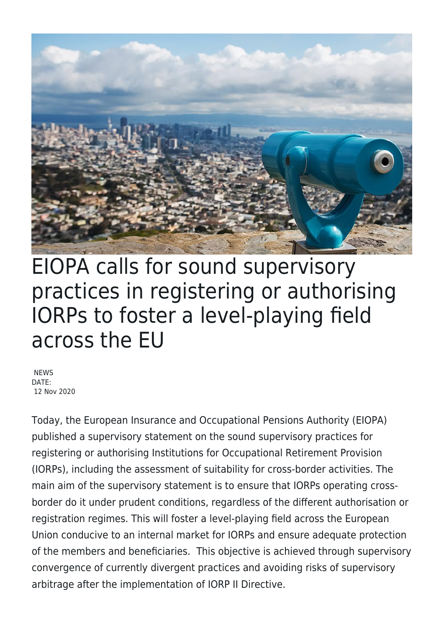

## EIOPA calls for sound supervisory practices in registering or authorising IORPs to foster a level-playing field across the EU

**NEWS** DATE: 12 Nov 2020

Today, the European Insurance and Occupational Pensions Authority (EIOPA) published a supervisory statement on the sound supervisory practices for registering or authorising Institutions for Occupational Retirement Provision (IORPs), including the assessment of suitability for cross-border activities. The main aim of the supervisory statement is to ensure that IORPs operating crossborder do it under prudent conditions, regardless of the different authorisation or registration regimes. This will foster a level-playing field across the European Union conducive to an internal market for IORPs and ensure adequate protection of the members and beneficiaries. This objective is achieved through supervisory convergence of currently divergent practices and avoiding risks of supervisory arbitrage after the implementation of IORP II Directive.